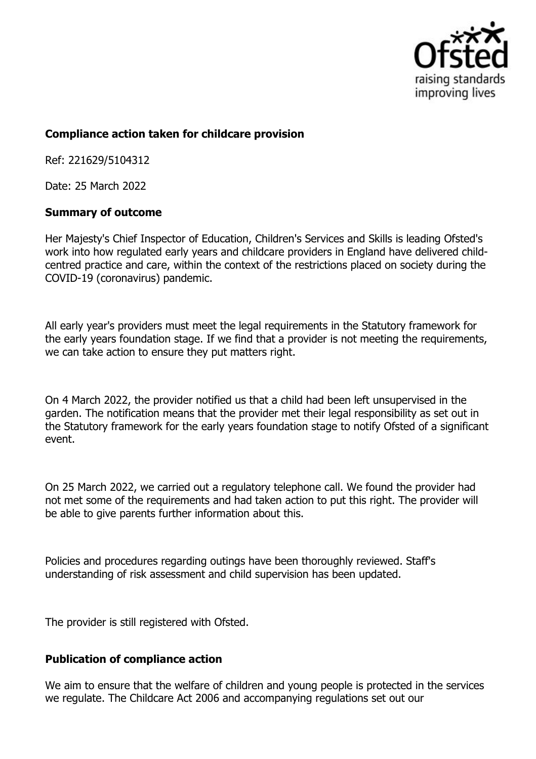

## **Compliance action taken for childcare provision**

Ref: 221629/5104312

Date: 25 March 2022

## **Summary of outcome**

Her Majesty's Chief Inspector of Education, Children's Services and Skills is leading Ofsted's work into how regulated early years and childcare providers in England have delivered childcentred practice and care, within the context of the restrictions placed on society during the COVID-19 (coronavirus) pandemic.

All early year's providers must meet the legal requirements in the Statutory framework for the early years foundation stage. If we find that a provider is not meeting the requirements, we can take action to ensure they put matters right.

On 4 March 2022, the provider notified us that a child had been left unsupervised in the garden. The notification means that the provider met their legal responsibility as set out in the Statutory framework for the early years foundation stage to notify Ofsted of a significant event.

On 25 March 2022, we carried out a regulatory telephone call. We found the provider had not met some of the requirements and had taken action to put this right. The provider will be able to give parents further information about this.

Policies and procedures regarding outings have been thoroughly reviewed. Staff's understanding of risk assessment and child supervision has been updated.

The provider is still registered with Ofsted.

## **Publication of compliance action**

We aim to ensure that the welfare of children and young people is protected in the services we regulate. The Childcare Act 2006 and accompanying regulations set out our